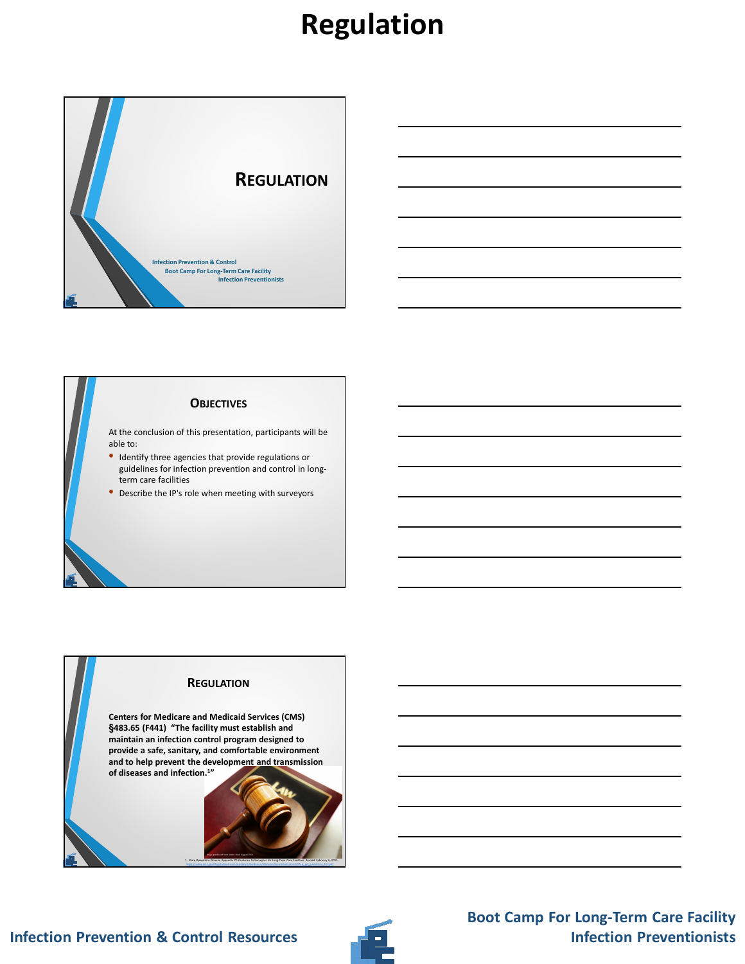### **Regulation**



#### **OBJECTIVES**

At the conclusion of this presentation, participants will be able to:

- Identify three agencies that provide regulations or guidelines for infection prevention and control in longterm care facilities
- Describe the IP's role when meeting with surveyors

### **REGULATION Centers for Medicare and Medicaid Services (CMS) §483.65 (F441) "The facility must establish and maintain an infection control program designed to provide a safe, sanitary, and comfortable environment and to help prevent the development and transmission of diseases and infection.<sup>1</sup>"**

Image purchased from Adobe Stock August 2016

1. State Operations Manual Appendix PP-Guidance to Surveyors for Long-Term Care Facilities. Revised February 6, 2015. https://www.cms.gov/Regulations-and-Guidance/Guidance/Manuals/downloads/som107ap\_pp\_guidelines\_ltcf.pdf



#### **Boot Camp For Long-Term Care Facility Infection Preventionists**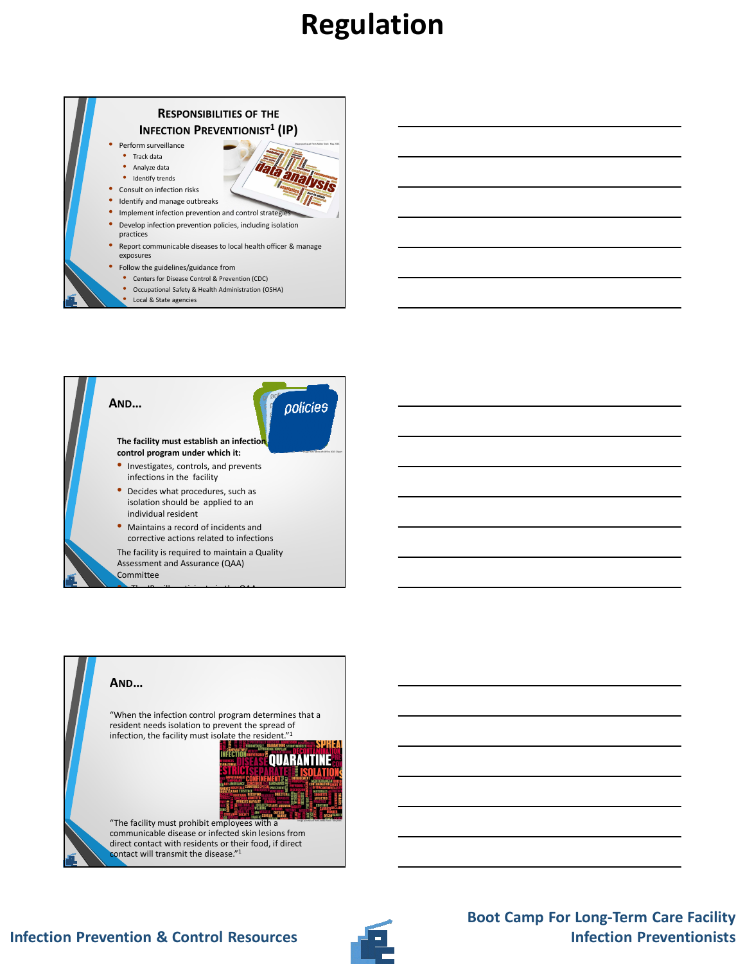## **Regulation**







### **Infection Prevention & Control Resources**



### **Boot Camp For Long-Term Care Facility Infection Preventionists**